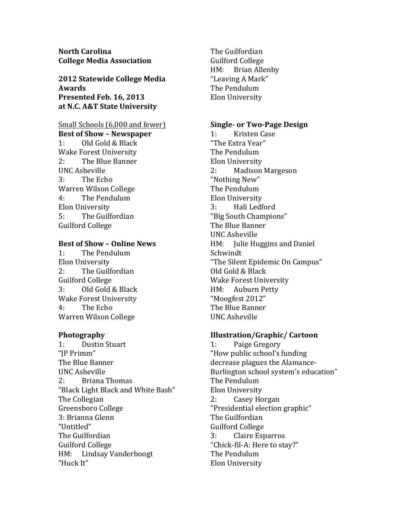**North Carolina College Media Association**

**2012 Statewide College Media Awards Presented Feb. 16, 2013 at N.C. A&T State University**

# Small Schools (6,000 and fewer) **Best of Show – Newspaper** 1: Old Gold & Black Wake Forest University 2: The Blue Banner UNC Asheville 3: The Echo Warren Wilson College 4: The Pendulum Elon University 5: The Guilfordian Guilford College

# **Best of Show - Online News**

1: The Pendulum Elon University 2: The Guilfordian Guilford College 3: Old Gold & Black Wake Forest University 4: The Echo Warren Wilson College

# **Photography**

1: Dustin Stuart "JP Primm" The Blue Banner UNC Asheville 2: Briana Thomas "Black Light Black and White Bash" The Collegian Greensboro College 3: Brianna Glenn "Untitled" The Guilfordian Guilford College HM: Lindsay Vanderhoogt "Huck It"

The Guilfordian Guilford College HM: Brian Allenby "Leaving A Mark" The Pendulum Elon University

# **Single- or Two-Page Design**

1: Kristen Case "The Extra Year" The Pendulum Elon University 2: Madison Margeson "Nothing New" The Pendulum Elon University 3: Hali Ledford "Big South Champions" The Blue Banner UNC Asheville HM: Julie Huggins and Daniel Schwindt "The Silent Epidemic On Campus" Old Gold & Black Wake Forest University HM: Auburn Petty "Moogfest 2012" The Blue Banner UNC Asheville

# **Illustration/Graphic/ Cartoon**

1: Paige Gregory "How public school's funding decrease plagues the Alamance-Burlington school system's education" The Pendulum Elon University 2: Casey Horgan "Presidential election graphic" The Guilfordian Guilford College 3: Claire Esparros "Chick-fil-A: Here to stay?" The Pendulum Elon University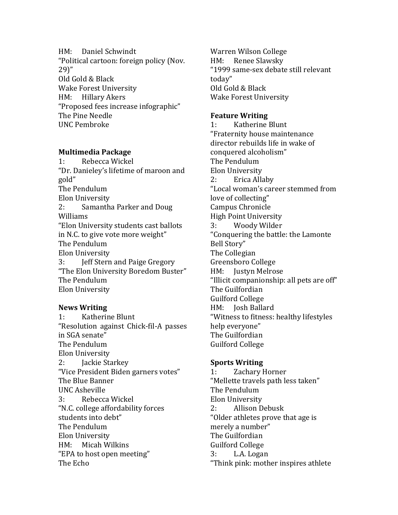HM: Daniel Schwindt "Political cartoon: foreign policy (Nov. 29)" Old Gold & Black Wake Forest University HM: Hillary Akers "Proposed fees increase infographic" The Pine Needle UNC Pembroke

## **Multimedia Package**

1: Rebecca Wickel "Dr. Danieley's lifetime of maroon and gold" The Pendulum Elon University 2: Samantha Parker and Doug Williams "Elon University students cast ballots in N.C. to give vote more weight" The Pendulum Elon University 3: **Jeff Stern and Paige Gregory** "The Elon University Boredom Buster" The Pendulum Elon University

# **News Writing**

1: Katherine Blunt "Resolution against Chick-fil-A passes in SGA senate" The Pendulum Elon University 2: Jackie Starkey "Vice President Biden garners votes" The Blue Banner UNC Asheville 3: Rebecca Wickel "N.C. college affordability forces students into debt" The Pendulum Elon University HM: Micah Wilkins "EPA to host open meeting" The Echo

Warren Wilson College HM: Renee Slawsky "1999 same-sex debate still relevant today" Old Gold & Black Wake Forest University

### **Feature Writing**

1: Katherine Blunt "Fraternity house maintenance director rebuilds life in wake of conquered alcoholism" The Pendulum Elon University 2: Erica Allaby "Local woman's career stemmed from love of collecting" Campus Chronicle High Point University 3: Woody Wilder "Conquering the battle: the Lamonte Bell Story" The Collegian Greensboro College HM: Justyn Melrose "Illicit companionship: all pets are off" The Guilfordian Guilford College HM: Josh Ballard "Witness to fitness: healthy lifestyles help everyone" The Guilfordian Guilford College

# **Sports Writing**

1: Zachary Horner "Mellette travels path less taken" The Pendulum Elon University 2: Allison Debusk "Older athletes prove that age is merely a number" The Guilfordian Guilford College 3: L.A. Logan "Think pink: mother inspires athlete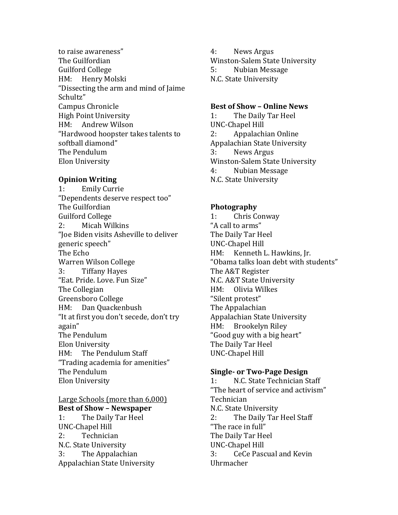to raise awareness" The Guilfordian Guilford College HM: Henry Molski "Dissecting the arm and mind of Jaime" Schultz" Campus Chronicle High Point University HM: Andrew Wilson "Hardwood hoopster takes talents to softball diamond" The Pendulum Elon University

## **Opinion Writing**

1: Emily Currie "Dependents deserve respect too" The Guilfordian Guilford College 2: Micah Wilkins "Joe Biden visits Asheville to deliver generic speech" The Echo Warren Wilson College 3: Tiffany Hayes "Eat. Pride. Love. Fun Size" The Collegian Greensboro College HM: Dan Quackenbush "It at first you don't secede, don't try again" The Pendulum Elon University HM: The Pendulum Staff "Trading academia for amenities" The Pendulum Elon University

Large Schools (more than 6,000) **Best of Show – Newspaper** 1: The Daily Tar Heel UNC-Chapel Hill 2: Technician N.C. State University 3: The Appalachian Appalachian State University

4: News Argus Winston-Salem State University 5: Nubian Message N.C. State University

#### **Best of Show – Online News**

1: The Daily Tar Heel UNC-Chapel Hill 2: Appalachian Online Appalachian State University 3: News Argus Winston-Salem State University 4: Nubian Message N.C. State University

## **Photography**

1: Chris Conway "A call to arms" The Daily Tar Heel UNC-Chapel Hill HM: Kenneth L. Hawkins, Jr. "Obama talks loan debt with students" The A&T Register N.C. A&T State University HM: Olivia Wilkes "Silent protest" The Appalachian Appalachian State University HM: Brookelyn Riley "Good guy with a big heart" The Daily Tar Heel UNC-Chapel Hill

### **Single- or Two-Page Design**

1: N.C. State Technician Staff "The heart of service and activism" Technician N.C. State University 2: The Daily Tar Heel Staff "The race in full" The Daily Tar Heel UNC-Chapel Hill 3: CeCe Pascual and Kevin Uhrmacher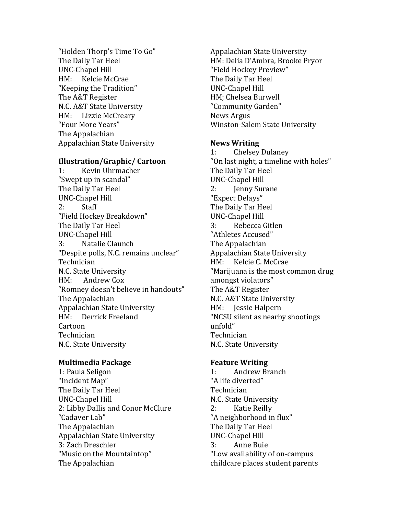"Holden Thorp's Time To Go" The Daily Tar Heel UNC-Chapel Hill HM: Kelcie McCrae "Keeping the Tradition" The A&T Register N.C. A&T State University HM: Lizzie McCreary "Four More Years" The Appalachian Appalachian State University

## **Illustration/Graphic/ Cartoon**

1: Kevin Uhrmacher "Swept up in scandal" The Daily Tar Heel UNC-Chapel Hill 2: Staff "Field Hockey Breakdown" The Daily Tar Heel UNC-Chapel Hill 3: Natalie Claunch "Despite polls, N.C. remains unclear" Technician N.C. State University HM: Andrew Cox "Romney doesn't believe in handouts" The Appalachian Appalachian State University HM: Derrick Freeland Cartoon Technician N.C. State University

# **Multimedia Package**

1: Paula Seligon "Incident Map" The Daily Tar Heel UNC-Chapel Hill 2: Libby Dallis and Conor McClure "Cadaver Lab" The Appalachian Appalachian State University 3: Zach Dreschler "Music on the Mountaintop" The Appalachian

Appalachian State University HM: Delia D'Ambra, Brooke Pryor "Field Hockey Preview" The Daily Tar Heel UNC-Chapel Hill HM; Chelsea Burwell "Community Garden" News Argus Winston-Salem State University

# **News Writing**

1: Chelsey Dulaney "On last night, a timeline with holes" The Daily Tar Heel UNC-Chapel Hill 2: Jenny Surane "Expect Delays" The Daily Tar Heel UNC-Chapel Hill 3: Rebecca Gitlen "Athletes Accused" The Appalachian Appalachian State University HM: Kelcie C. McCrae "Marijuana is the most common drug amongst violators" The A&T Register N.C. A&T State University HM: Jessie Halpern "NCSU silent as nearby shootings unfold" Technician N.C. State University

# **Feature Writing**

1: Andrew Branch "A life diverted" Technician N.C. State University 2: Katie Reilly "A neighborhood in flux" The Daily Tar Heel UNC-Chapel Hill 3: Anne Buie "Low availability of on-campus childcare places student parents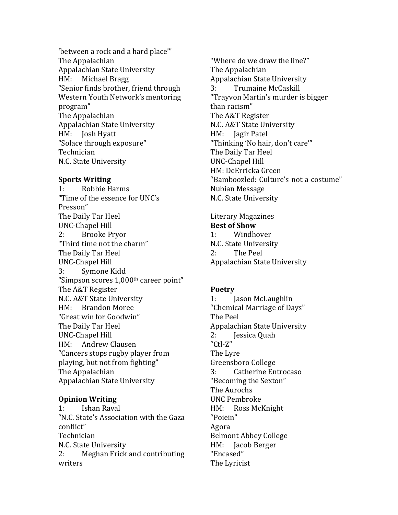'between a rock and a hard place'" The Appalachian Appalachian State University HM: Michael Bragg "Senior finds brother, friend through Western Youth Network's mentoring program" The Appalachian Appalachian State University HM: Josh Hyatt "Solace through exposure" Technician N.C. State University

#### **Sports Writing**

1: Robbie Harms "Time of the essence for UNC's Presson" The Daily Tar Heel UNC-Chapel Hill 2: Brooke Pryor "Third time not the charm" The Daily Tar Heel UNC-Chapel Hill 3: Symone Kidd "Simpson scores  $1,000$ <sup>th</sup> career point" The A&T Register N.C. A&T State University HM: Brandon Moree "Great win for Goodwin" The Daily Tar Heel UNC-Chapel Hill HM: Andrew Clausen "Cancers stops rugby player from playing, but not from fighting" The Appalachian Appalachian State University

# **Opinion Writing**

1: Ishan Raval "N.C. State's Association with the Gaza conflict" Technician N.C. State University 2: Meghan Frick and contributing writers

"Where do we draw the line?" The Appalachian Appalachian State University 3: Trumaine McCaskill "Trayvon Martin's murder is bigger than racism" The A&T Register N.C. A&T State University HM: Jagir Patel "Thinking 'No hair, don't care'" The Daily Tar Heel UNC-Chapel Hill HM: DeErricka Green "Bamboozled: Culture's not a costume" Nubian Message N.C. State University

# Literary Magazines **Best of Show** 1: Windhover N.C. State University 2: The Peel Appalachian State University

### **Poetry**

1: Jason McLaughlin "Chemical Marriage of Days" The Peel Appalachian State University 2: Jessica Quah "Ctl-Z" The Lyre Greensboro College 3: Catherine Entrocaso "Becoming the Sexton" The Aurochs UNC Pembroke HM: Ross McKnight "Poiein" Agora **Belmont Abbey College** HM: Jacob Berger "Encased" The Lyricist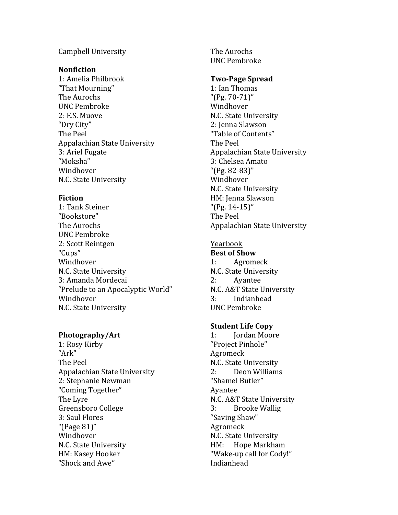## Campbell University

### **Nonfiction**

1: Amelia Philbrook "That Mourning" The Aurochs UNC Pembroke 2: E.S. Muove "Dry City" The Peel Appalachian State University 3: Ariel Fugate "Moksha" Windhover N.C. State University

## **Fiction**

1: Tank Steiner "Bookstore" The Aurochs UNC Pembroke 2: Scott Reintgen "Cups" Windhover N.C. State University 3: Amanda Mordecai "Prelude to an Apocalyptic World" Windhover N.C. State University

### **Photography/Art**

1: Rosy Kirby "Ark" The Peel Appalachian State University 2: Stephanie Newman "Coming Together" The Lyre Greensboro College 3: Saul Flores "(Page  $81$ )" Windhover N.C. State University HM: Kasey Hooker "Shock and Awe"

The Aurochs UNC Pembroke

### **Two-Page Spread**

1: Ian Thomas "(Pg.  $70-71$ )" Windhover N.C. State University 2: Jenna Slawson "Table of Contents" The Peel Appalachian State University 3: Chelsea Amato "(Pg.  $82-83$ )" Windhover N.C. State University HM: Jenna Slawson "(Pg.  $14-15$ )" The Peel Appalachian State University

# Yearbook

### **Best of Show**

1: Agromeck N.C. State University 2: Ayantee N.C. A&T State University 3: Indianhead UNC Pembroke

#### **Student Life Copy**

1: Jordan Moore "Project Pinhole" Agromeck N.C. State University 2: Deon Williams "Shamel Butler" Ayantee N.C. A&T State University 3: Brooke Wallig "Saving Shaw" Agromeck N.C. State University HM: Hope Markham "Wake-up call for Cody!" Indianhead